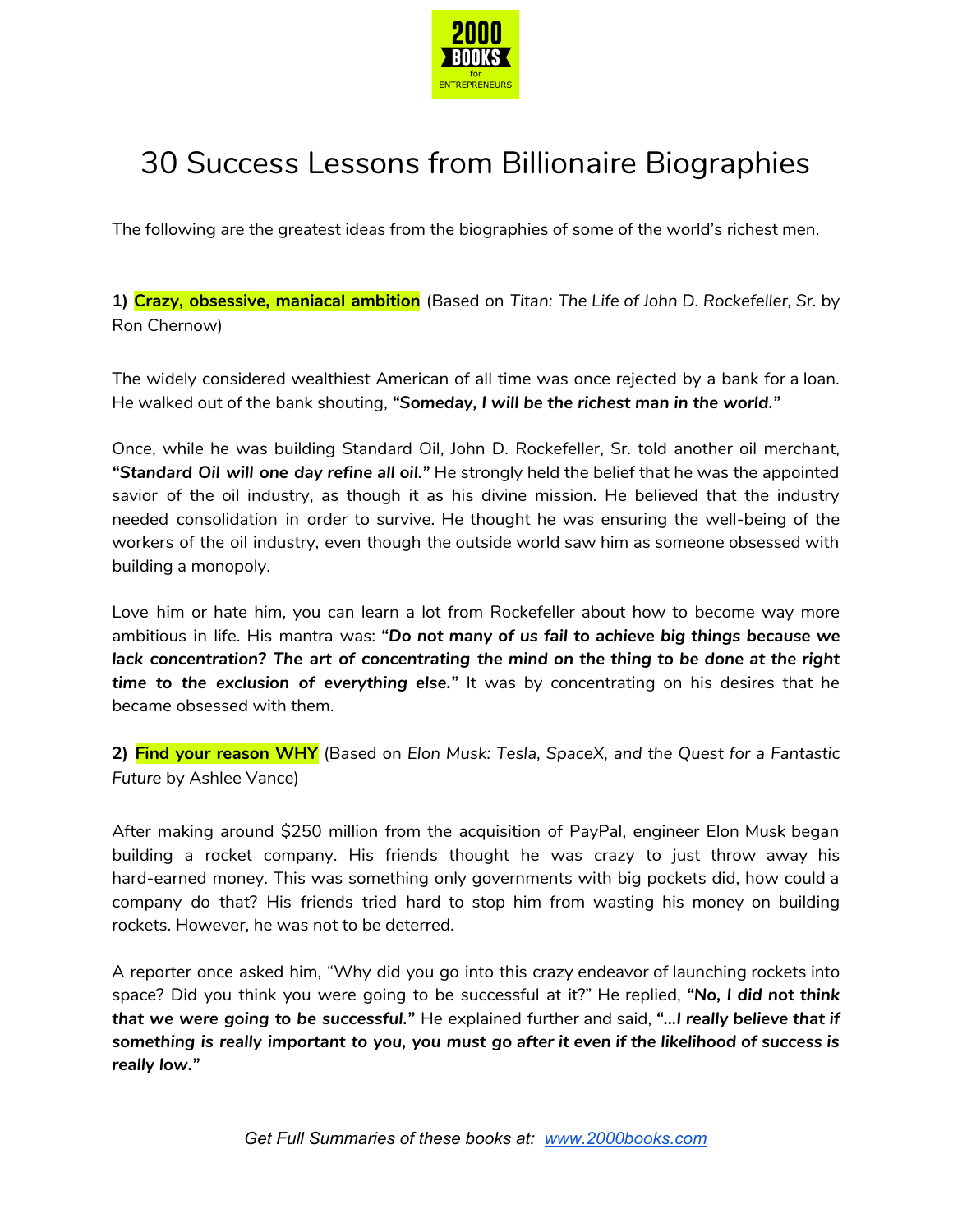

## 30 Success Lessons from Billionaire Biographies

The following are the greatest ideas from the biographies of some of the world's richest men.

**1) Crazy, obsessive, maniacal ambition** (Based on *Titan: The Life of John D. Rockefeller, Sr.* by Ron Chernow)

The widely considered wealthiest American of all time was once rejected by a bank for a loan. He walked out of the bank shouting, *"Someday, I will be the richest man in the world."*

Once, while he was building Standard Oil, John D. Rockefeller, Sr. told another oil merchant, *"Standard Oil will one day refine all oil."* He strongly held the belief that he was the appointed savior of the oil industry, as though it as his divine mission. He believed that the industry needed consolidation in order to survive. He thought he was ensuring the well-being of the workers of the oil industry, even though the outside world saw him as someone obsessed with building a monopoly.

Love him or hate him, you can learn a lot from Rockefeller about how to become way more ambitious in life. His mantra was: *"Do not many of us fail to achieve big things because we lack concentration? The art of concentrating the mind on the thing to be done at the right time to the exclusion of everything else."* It was by concentrating on his desires that he became obsessed with them.

**2) Find your reason WHY** (Based on *Elon Musk: Tesla, SpaceX, and the Quest for a Fantastic Future* by Ashlee Vance)

After making around \$250 million from the acquisition of PayPal, engineer Elon Musk began building a rocket company. His friends thought he was crazy to just throw away his hard-earned money. This was something only governments with big pockets did, how could a company do that? His friends tried hard to stop him from wasting his money on building rockets. However, he was not to be deterred.

A reporter once asked him, "Why did you go into this crazy endeavor of launching rockets into space? Did you think you were going to be successful at it?" He replied, *"No, I did not think that we were going to be successful."* He explained further and said, *"...I really believe that if something is really important to you, you must go after it even if the likelihood of success is really low."*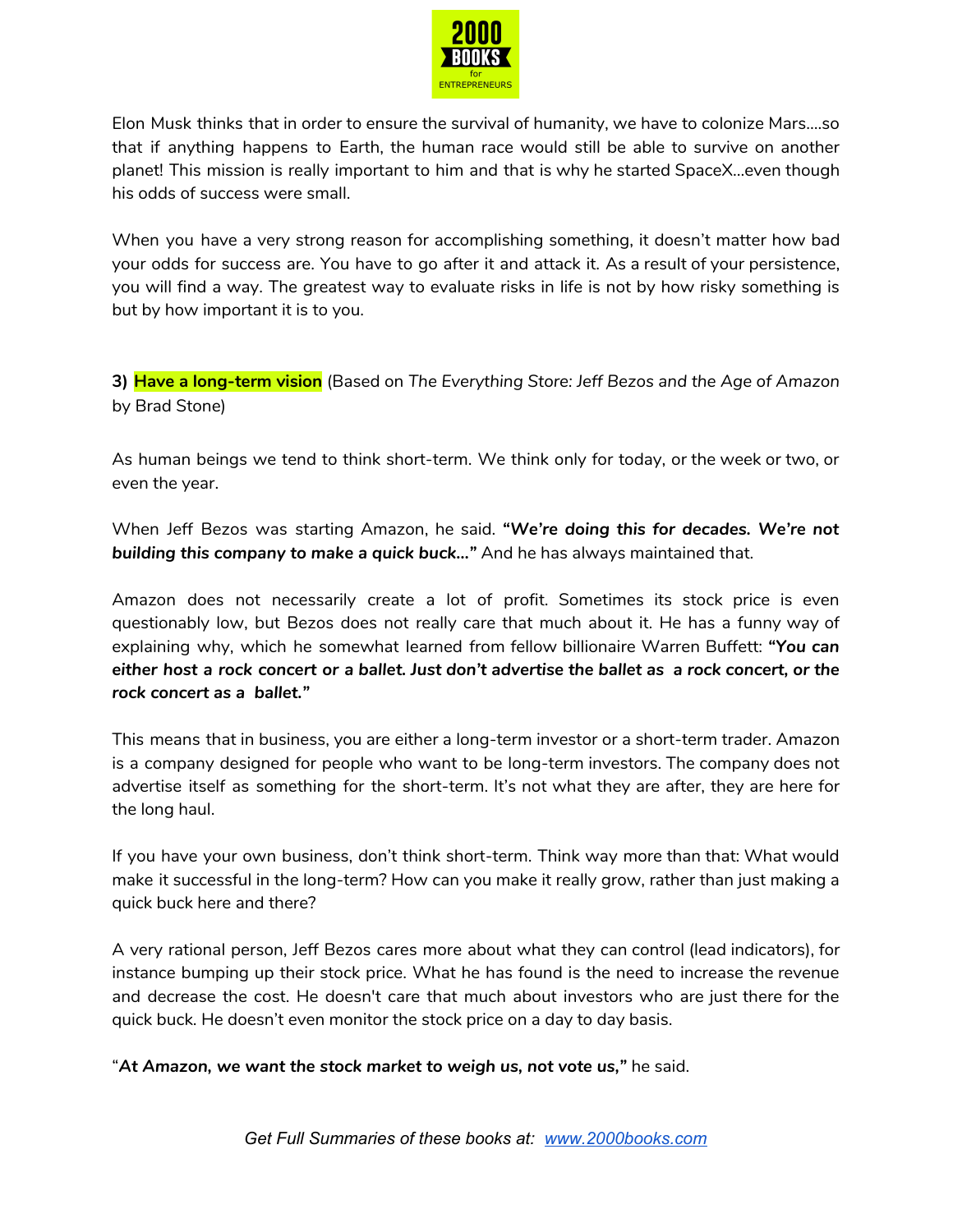

Elon Musk thinks that in order to ensure the survival of humanity, we have to colonize Mars….so that if anything happens to Earth, the human race would still be able to survive on another planet! This mission is really important to him and that is why he started SpaceX…even though his odds of success were small.

When you have a very strong reason for accomplishing something, it doesn't matter how bad your odds for success are. You have to go after it and attack it. As a result of your persistence, you will find a way. The greatest way to evaluate risks in life is not by how risky something is but by how important it is to you.

**3) Have a long-term vision** (Based on *The Everything Store: Jeff Bezos and the Age of Amazon* by Brad Stone)

As human beings we tend to think short-term. We think only for today, or the week or two, or even the year.

When Jeff Bezos was starting Amazon, he said. *"We're doing this for decades. We're not building this company to make a quick buck…"* And he has always maintained that.

Amazon does not necessarily create a lot of profit. Sometimes its stock price is even questionably low, but Bezos does not really care that much about it. He has a funny way of explaining why, which he somewhat learned from fellow billionaire Warren Buffett: *"You can* either host a rock concert or a ballet. Just don't advertise the ballet as a rock concert, or the *rock concert as a ballet."*

This means that in business, you are either a long-term investor or a short-term trader. Amazon is a company designed for people who want to be long-term investors. The company does not advertise itself as something for the short-term. It's not what they are after, they are here for the long haul.

If you have your own business, don't think short-term. Think way more than that: What would make it successful in the long-term? How can you make it really grow, rather than just making a quick buck here and there?

A very rational person, Jeff Bezos cares more about what they can control (lead indicators), for instance bumping up their stock price. What he has found is the need to increase the revenue and decrease the cost. He doesn't care that much about investors who are just there for the quick buck. He doesn't even monitor the stock price on a day to day basis.

"*At Amazon, we want the stock market to weigh us, not vote us,"* he said.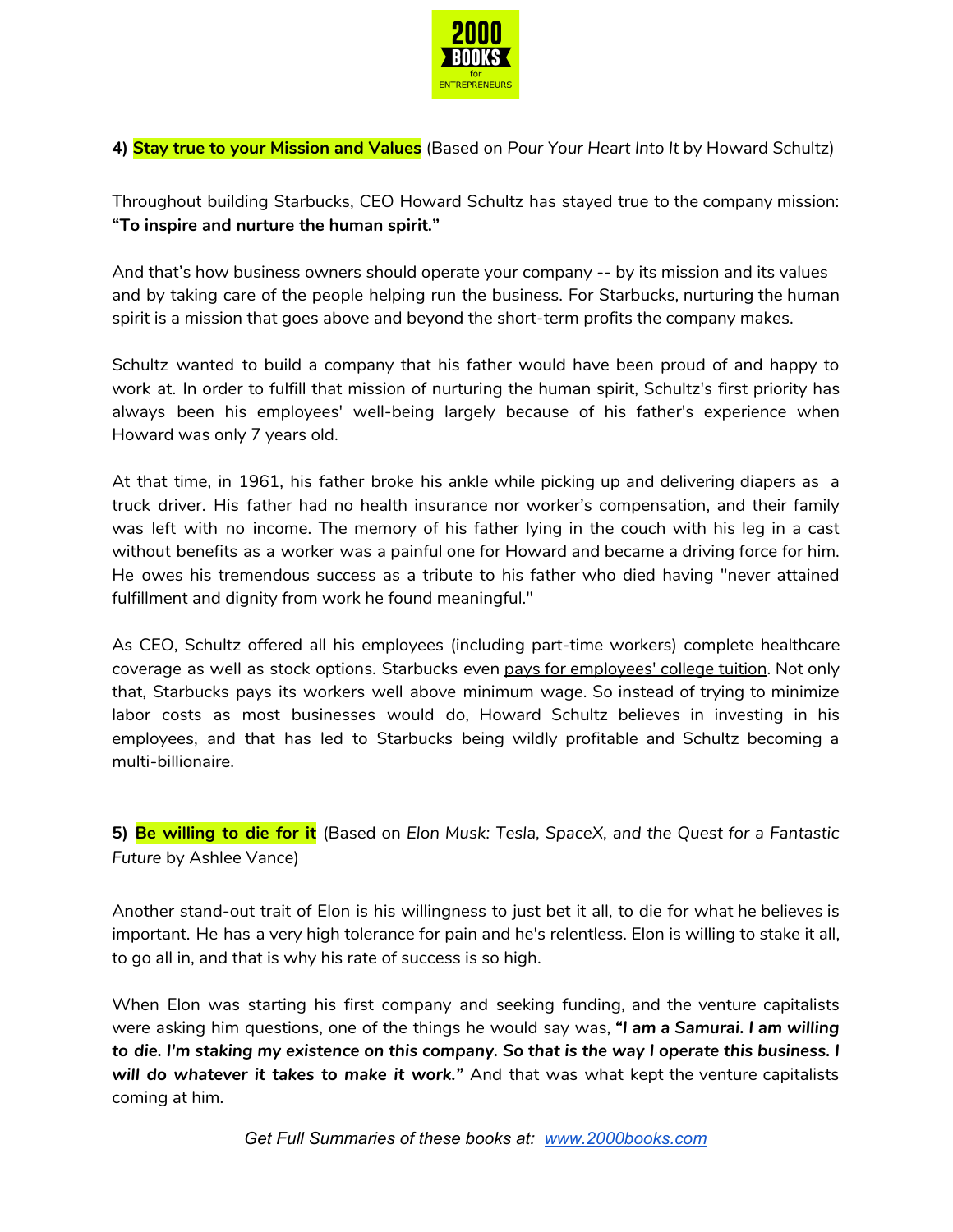

**4) Stay true to your Mission and Values** (Based on *Pour Your Heart Into It* by Howard Schultz)

Throughout building Starbucks, CEO Howard Schultz has stayed true to the company mission: **"To inspire and nurture the human spirit."**

And that's how business owners should operate your company -- by its mission and its values and by taking care of the people helping run the business. For Starbucks, nurturing the human spirit is a mission that goes above and beyond the short-term profits the company makes.

Schultz wanted to build a company that his father would have been proud of and happy to work at. In order to fulfill that mission of nurturing the human spirit, Schultz's first priority has always been his employees' well-being largely because of his father's experience when Howard was only 7 years old.

At that time, in 1961, his father broke his ankle while picking up and delivering diapers as a truck driver. His father had no health insurance nor worker's compensation, and their family was left with no income. The memory of his father lying in the couch with his leg in a cast without benefits as a worker was a painful one for Howard and became a driving force for him. He owes his tremendous success as a tribute to his father who died having "never attained fulfillment and dignity from work he found meaningful."

As CEO, Schultz offered all his employees (including part-time workers) complete healthcare coverage as well as stock options. Starbucks even pays for [employees'](http://www.businessinsider.com/starbucks-will-now-cover-4-years-of-college-tuition-for-employees-up-from-2-2015-4) college tuition. Not only that, Starbucks pays its workers well above minimum wage. So instead of trying to minimize labor costs as most businesses would do, Howard Schultz believes in investing in his employees, and that has led to Starbucks being wildly profitable and Schultz becoming a multi-billionaire.

**5) Be willing to die for it** (Based on *Elon Musk: Tesla, SpaceX, and the Quest for a Fantastic Future* by Ashlee Vance)

Another stand-out trait of Elon is his willingness to just bet it all, to die for what he believes is important. He has a very high tolerance for pain and he's relentless. Elon is willing to stake it all, to go all in, and that is why his rate of success is so high.

When Elon was starting his first company and seeking funding, and the venture capitalists were asking him questions, one of the things he would say was, *"I am a Samurai. I am willing* to die. I'm staking my existence on this company. So that is the way I operate this business. I *will do whatever it takes to make it work."* And that was what kept the venture capitalists coming at him.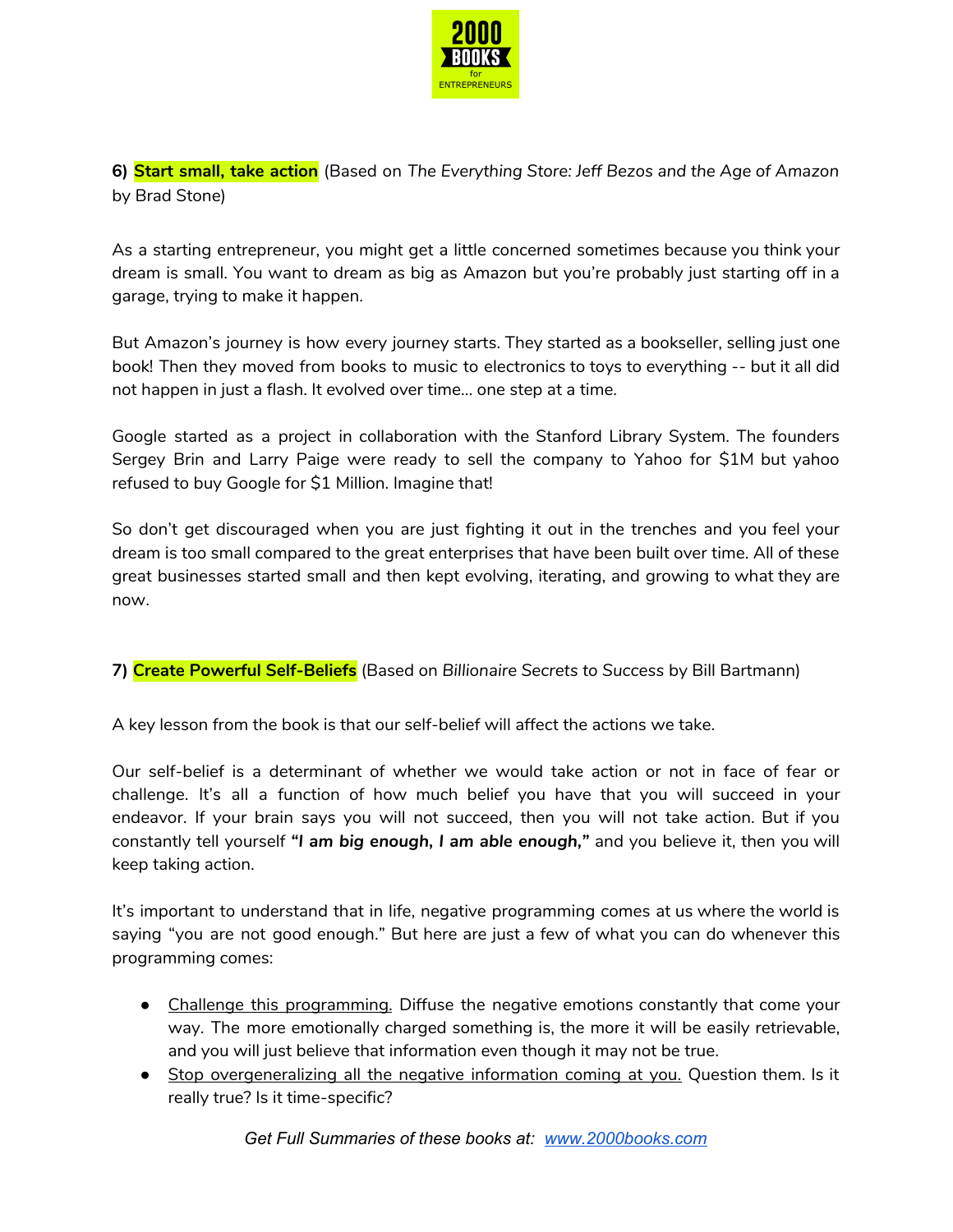

**6) Start small, take action** (Based on *The Everything Store: Jeff Bezos and the Age of Amazon* by Brad Stone)

As a starting entrepreneur, you might get a little concerned sometimes because you think your dream is small. You want to dream as big as Amazon but you're probably just starting off in a garage, trying to make it happen.

But Amazon's journey is how every journey starts. They started as a bookseller, selling just one book! Then they moved from books to music to electronics to toys to everything -- but it all did not happen in just a flash. It evolved over time… one step at a time.

Google started as a project in collaboration with the Stanford Library System. The founders Sergey Brin and Larry Paige were ready to sell the company to Yahoo for \$1M but yahoo refused to buy Google for \$1 Million. Imagine that!

So don't get discouraged when you are just fighting it out in the trenches and you feel your dream is too small compared to the great enterprises that have been built over time. All of these great businesses started small and then kept evolving, iterating, and growing to what they are now.

**7) Create Powerful Self-Beliefs** (Based on *Billionaire Secrets to Success* by Bill Bartmann)

A key lesson from the book is that our self-belief will affect the actions we take.

Our self-belief is a determinant of whether we would take action or not in face of fear or challenge. It's all a function of how much belief you have that you will succeed in your endeavor. If your brain says you will not succeed, then you will not take action. But if you constantly tell yourself *"I am big enough, I am able enough,"* and you believe it, then you will keep taking action.

It's important to understand that in life, negative programming comes at us where the world is saying "you are not good enough." But here are just a few of what you can do whenever this programming comes:

- Challenge this programming. Diffuse the negative emotions constantly that come your way. The more emotionally charged something is, the more it will be easily retrievable, and you will just believe that information even though it may not be true.
- Stop overgeneralizing all the negative information coming at you. Question them. Is it really true? Is it time-specific?

*Get Full Summaries of these books at: [www.2000books.com](http://www.2000books.com/)*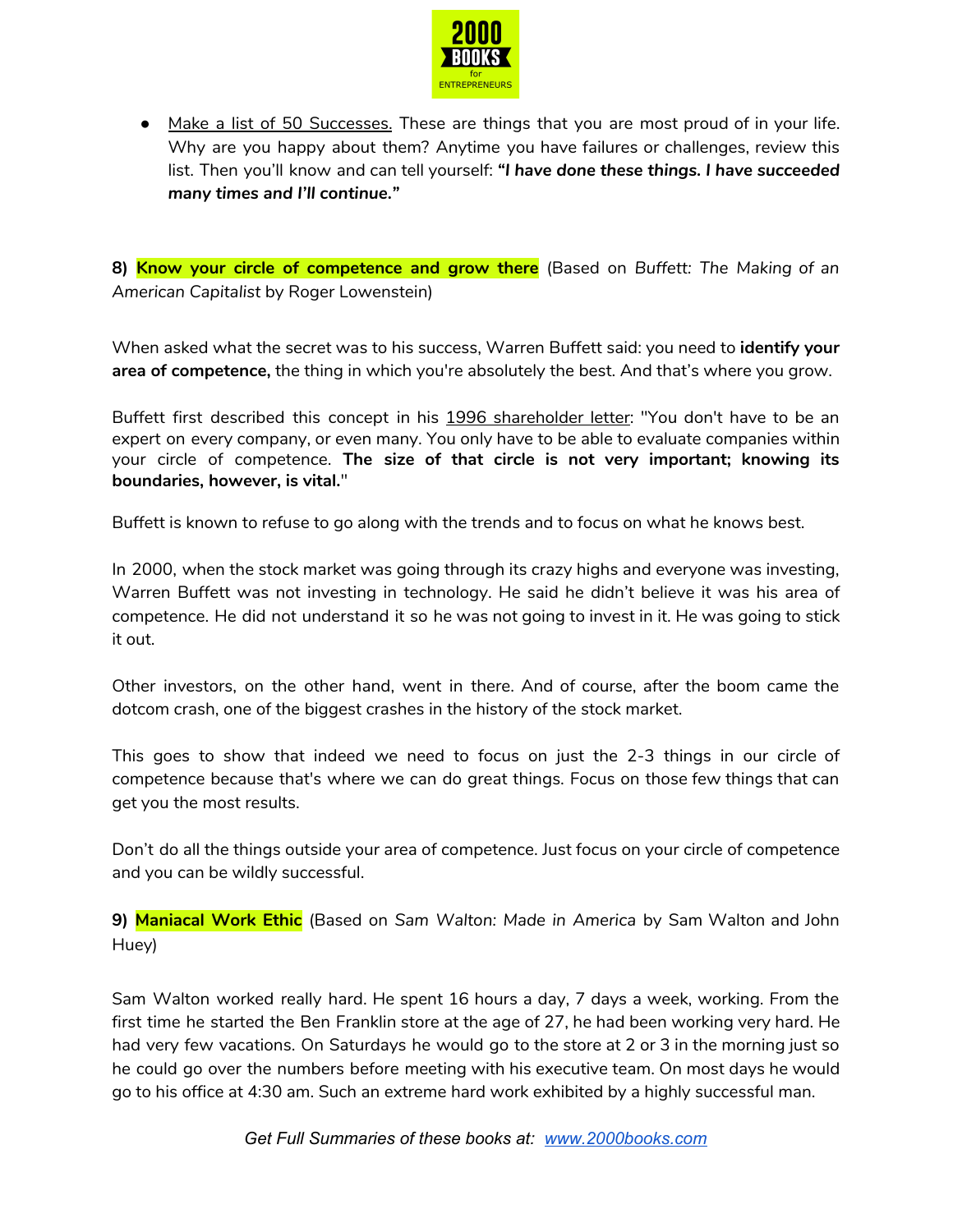

● Make a list of 50 Successes. These are things that you are most proud of in your life. Why are you happy about them? Anytime you have failures or challenges, review this list. Then you'll know and can tell yourself: *"I have done these things. I have succeeded many times and I'll continue."*

**8) Know your circle of competence and grow there** (Based on *Buffett: The Making of an American Capitalist* by Roger Lowenstein)

When asked what the secret was to his success, Warren Buffett said: you need to **identify your area of competence,** the thing in which you're absolutely the best. And that's where you grow.

Buffett first described this concept in his 1996 [shareholder](http://www.berkshirehathaway.com/letters/1996.html) letter: "You don't have to be an expert on every company, or even many. You only have to be able to evaluate companies within your circle of competence. **The size of that circle is not very important; knowing its boundaries, however, is vital.**"

Buffett is known to refuse to go along with the trends and to focus on what he knows best.

In 2000, when the stock market was going through its crazy highs and everyone was investing, Warren Buffett was not investing in technology. He said he didn't believe it was his area of competence. He did not understand it so he was not going to invest in it. He was going to stick it out.

Other investors, on the other hand, went in there. And of course, after the boom came the dotcom crash, one of the biggest crashes in the history of the stock market.

This goes to show that indeed we need to focus on just the 2-3 things in our circle of competence because that's where we can do great things. Focus on those few things that can get you the most results.

Don't do all the things outside your area of competence. Just focus on your circle of competence and you can be wildly successful.

**9) Maniacal Work Ethic** (Based on *Sam Walton: Made in America* by Sam Walton and John Huey)

Sam Walton worked really hard. He spent 16 hours a day, 7 days a week, working. From the first time he started the Ben Franklin store at the age of 27, he had been working very hard. He had very few vacations. On Saturdays he would go to the store at 2 or 3 in the morning just so he could go over the numbers before meeting with his executive team. On most days he would go to his office at 4:30 am. Such an extreme hard work exhibited by a highly successful man.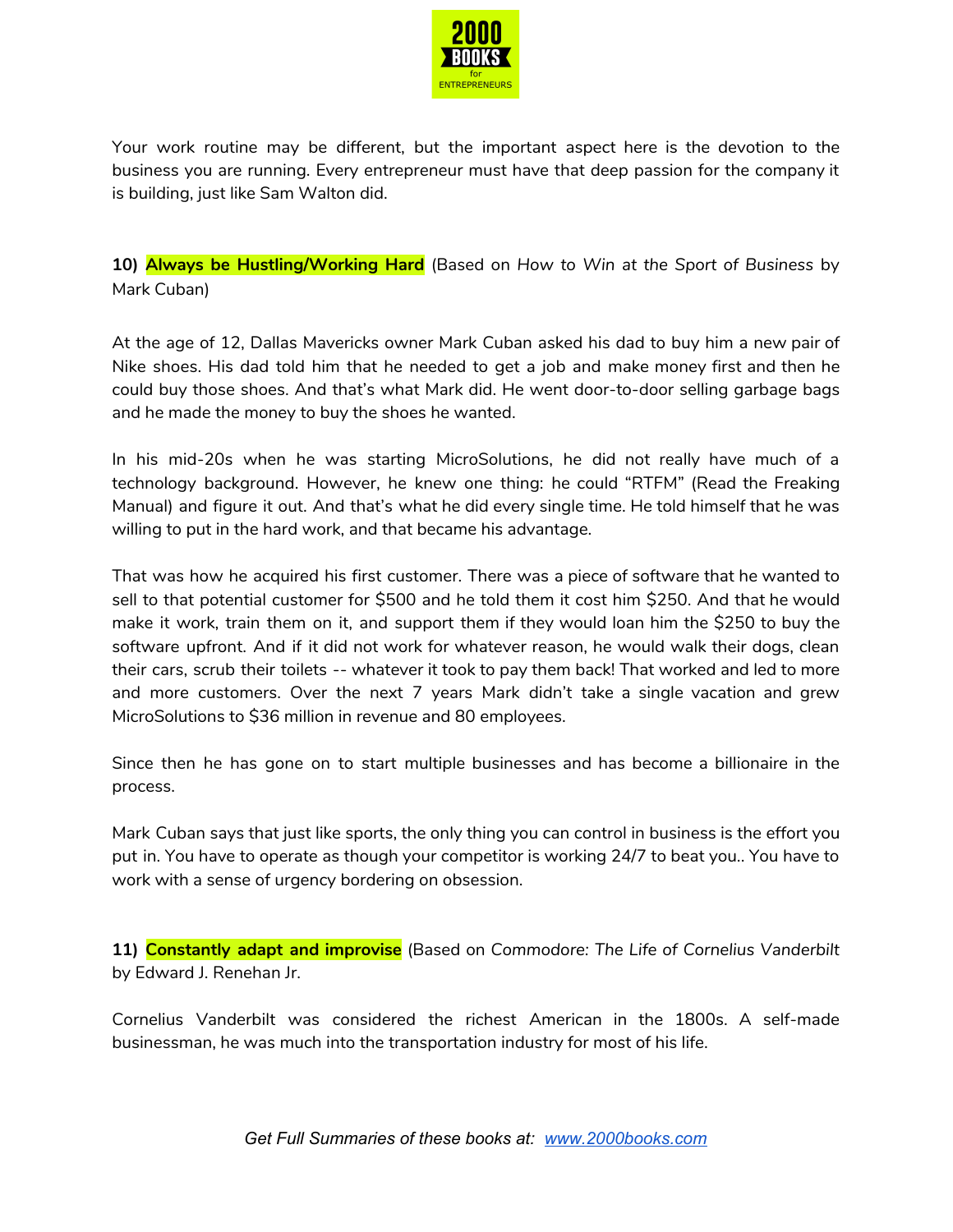

Your work routine may be different, but the important aspect here is the devotion to the business you are running. Every entrepreneur must have that deep passion for the company it is building, just like Sam Walton did.

**10) Always be Hustling/Working Hard** (Based on *How to Win at the Sport of Business* by Mark Cuban)

At the age of 12, Dallas Mavericks owner Mark Cuban asked his dad to buy him a new pair of Nike shoes. His dad told him that he needed to get a job and make money first and then he could buy those shoes. And that's what Mark did. He went door-to-door selling garbage bags and he made the money to buy the shoes he wanted.

In his mid-20s when he was starting MicroSolutions, he did not really have much of a technology background. However, he knew one thing: he could "RTFM" (Read the Freaking Manual) and figure it out. And that's what he did every single time. He told himself that he was willing to put in the hard work, and that became his advantage.

That was how he acquired his first customer. There was a piece of software that he wanted to sell to that potential customer for \$500 and he told them it cost him \$250. And that he would make it work, train them on it, and support them if they would loan him the \$250 to buy the software upfront. And if it did not work for whatever reason, he would walk their dogs, clean their cars, scrub their toilets -- whatever it took to pay them back! That worked and led to more and more customers. Over the next 7 years Mark didn't take a single vacation and grew MicroSolutions to \$36 million in revenue and 80 employees.

Since then he has gone on to start multiple businesses and has become a billionaire in the process.

Mark Cuban says that just like sports, the only thing you can control in business is the effort you put in. You have to operate as though your competitor is working 24/7 to beat you.. You have to work with a sense of urgency bordering on obsession.

**11) Constantly adapt and improvise** (Based on *Commodore: The Life of Cornelius Vanderbilt* by Edward J. Renehan Jr.

Cornelius Vanderbilt was considered the richest American in the 1800s. A self-made businessman, he was much into the transportation industry for most of his life.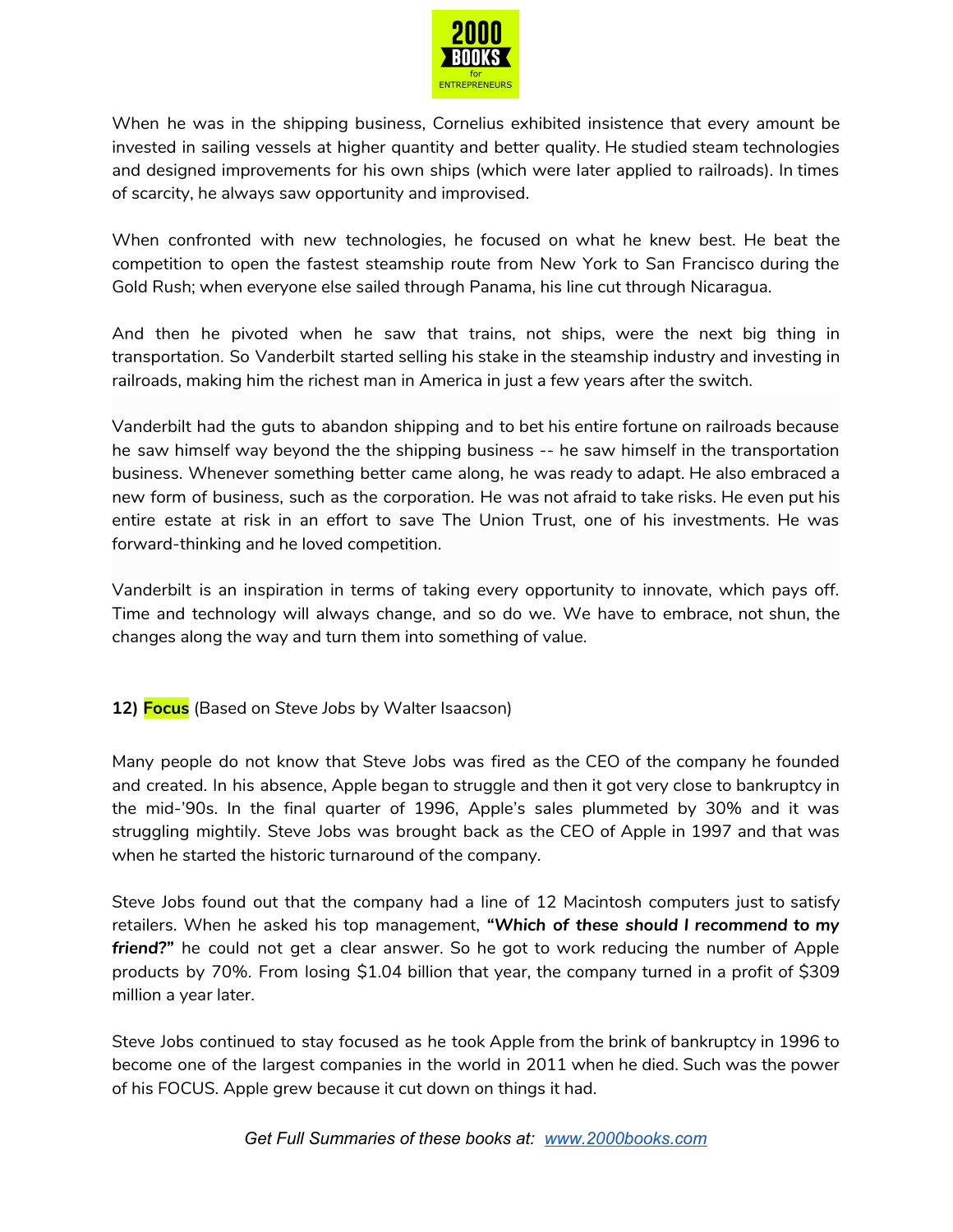

When he was in the shipping business, Cornelius exhibited insistence that every amount be invested in sailing vessels at higher quantity and better quality. He studied steam technologies and designed improvements for his own ships (which were later applied to railroads). In times of scarcity, he always saw opportunity and improvised.

When confronted with new technologies, he focused on what he knew best. He beat the competition to open the fastest steamship route from New York to San Francisco during the Gold Rush; when everyone else sailed through Panama, his line cut through Nicaragua.

And then he pivoted when he saw that trains, not ships, were the next big thing in transportation. So Vanderbilt started selling his stake in the steamship industry and investing in railroads, making him the richest man in America in just a few years after the switch.

Vanderbilt had the guts to abandon shipping and to bet his entire fortune on railroads because he saw himself way beyond the the shipping business -- he saw himself in the transportation business. Whenever something better came along, he was ready to adapt. He also embraced a new form of business, such as the corporation. He was not afraid to take risks. He even put his entire estate at risk in an effort to save The Union Trust, one of his investments. He was forward-thinking and he loved competition.

Vanderbilt is an inspiration in terms of taking every opportunity to innovate, which pays off. Time and technology will always change, and so do we. We have to embrace, not shun, the changes along the way and turn them into something of value.

**12) Focus** (Based on *Steve Jobs* by Walter Isaacson)

Many people do not know that Steve Jobs was fired as the CEO of the company he founded and created. In his absence, Apple began to struggle and then it got very close to bankruptcy in the mid-'90s. In the final quarter of 1996, Apple's sales plummeted by 30% and it was struggling mightily. Steve Jobs was brought back as the CEO of Apple in 1997 and that was when he started the historic turnaround of the company.

Steve Jobs found out that the company had a line of 12 Macintosh computers just to satisfy retailers. When he asked his top management, *"Which of these should I recommend to my friend?"* he could not get a clear answer. So he got to work reducing the number of Apple products by 70%. From losing \$1.04 billion that year, the company turned in a profit of \$309 million a year later.

Steve Jobs continued to stay focused as he took Apple from the brink of bankruptcy in 1996 to become one of the largest companies in the world in 2011 when he died. Such was the power of his FOCUS. Apple grew because it cut down on things it had.

*Get Full Summaries of these books at: [www.2000books.com](http://www.2000books.com/)*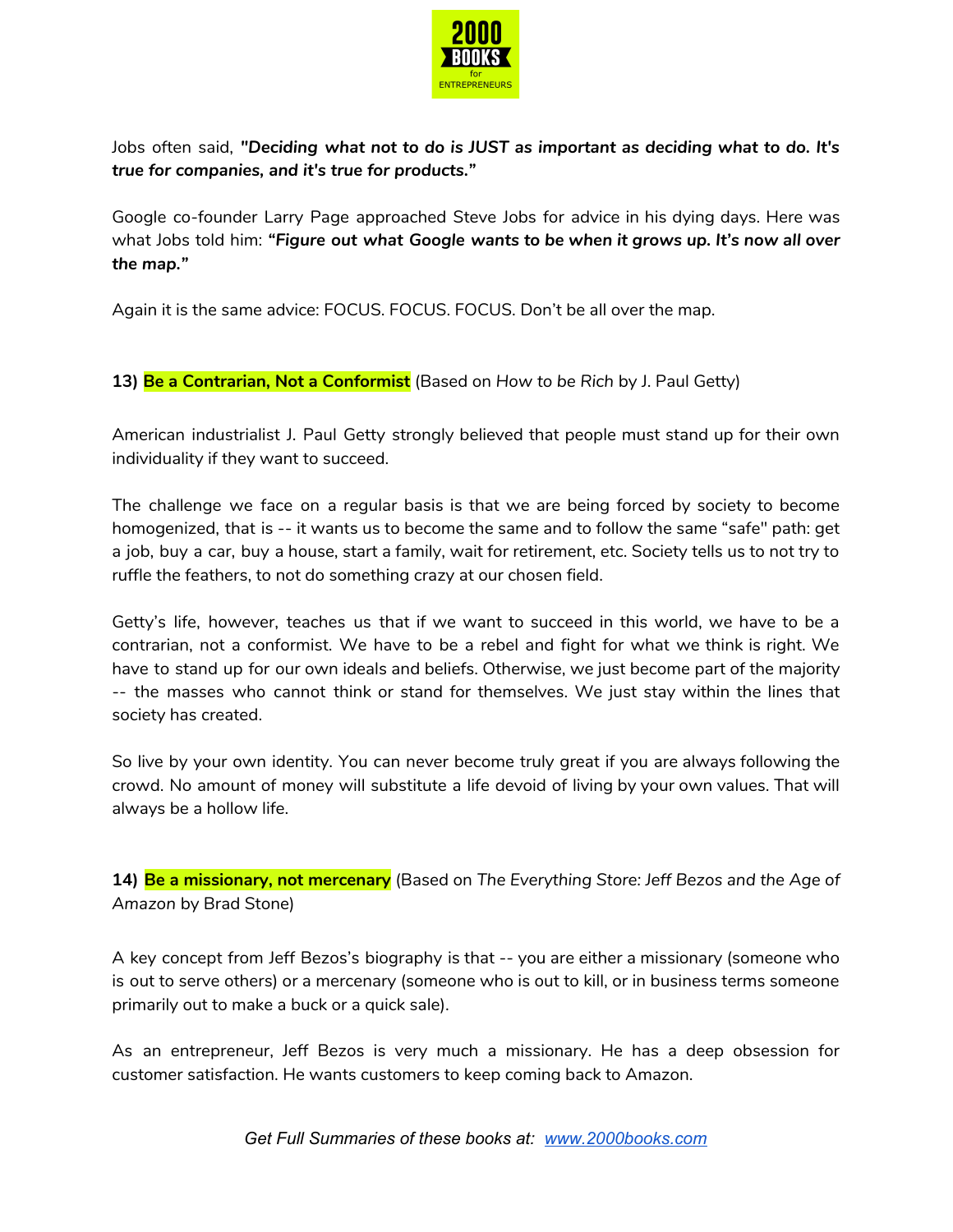

Jobs often said, *"Deciding what not to do is JUST as important as deciding what to do. It's true for companies, and it's true for products."*

Google co-founder Larry Page approached Steve Jobs for advice in his dying days. Here was what Jobs told him: *"Figure out what Google wants to be when it grows up. It's now all over the map."*

Again it is the same advice: FOCUS. FOCUS. FOCUS. Don't be all over the map.

**13) Be a Contrarian, Not a Conformist** (Based on *How to be Rich* by J. Paul Getty)

American industrialist J. Paul Getty strongly believed that people must stand up for their own individuality if they want to succeed.

The challenge we face on a regular basis is that we are being forced by society to become homogenized, that is -- it wants us to become the same and to follow the same "safe" path: get a job, buy a car, buy a house, start a family, wait for retirement, etc. Society tells us to not try to ruffle the feathers, to not do something crazy at our chosen field.

Getty's life, however, teaches us that if we want to succeed in this world, we have to be a contrarian, not a conformist. We have to be a rebel and fight for what we think is right. We have to stand up for our own ideals and beliefs. Otherwise, we just become part of the majority -- the masses who cannot think or stand for themselves. We just stay within the lines that society has created.

So live by your own identity. You can never become truly great if you are always following the crowd. No amount of money will substitute a life devoid of living by your own values. That will always be a hollow life.

**14) Be a missionary, not mercenary** (Based on *The Everything Store: Jeff Bezos and the Age of Amazon* by Brad Stone)

A key concept from Jeff Bezos's biography is that -- you are either a missionary (someone who is out to serve others) or a mercenary (someone who is out to kill, or in business terms someone primarily out to make a buck or a quick sale).

As an entrepreneur, Jeff Bezos is very much a missionary. He has a deep obsession for customer satisfaction. He wants customers to keep coming back to Amazon.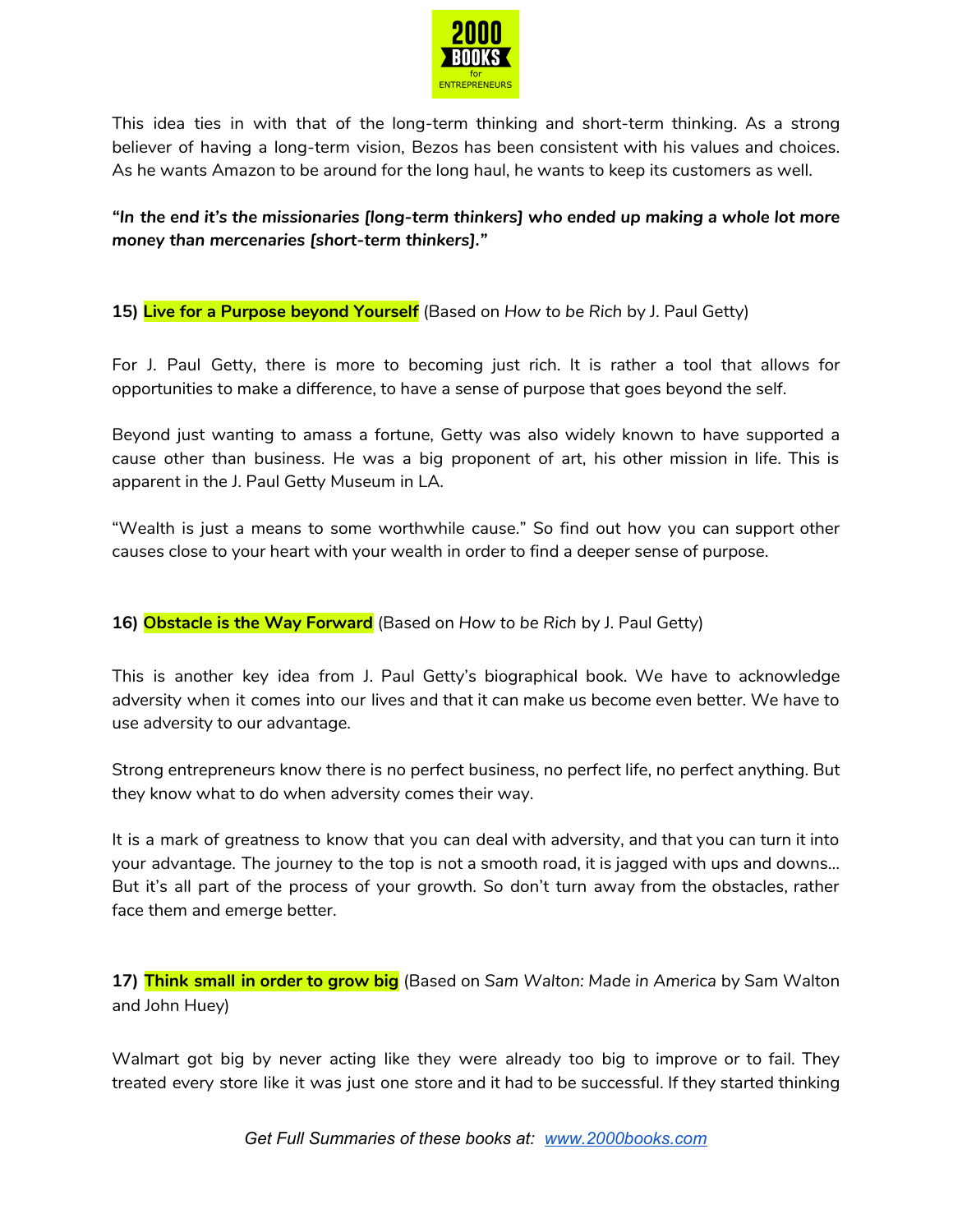

This idea ties in with that of the long-term thinking and short-term thinking. As a strong believer of having a long-term vision, Bezos has been consistent with his values and choices. As he wants Amazon to be around for the long haul, he wants to keep its customers as well.

*"In the end it's the missionaries [long-term thinkers] who ended up making a whole lot more money than mercenaries [short-term thinkers]."*

**15) Live for a Purpose beyond Yourself** (Based on *How to be Rich* by J. Paul Getty)

For J. Paul Getty, there is more to becoming just rich. It is rather a tool that allows for opportunities to make a difference, to have a sense of purpose that goes beyond the self.

Beyond just wanting to amass a fortune, Getty was also widely known to have supported a cause other than business. He was a big proponent of art, his other mission in life. This is apparent in the J. Paul Getty Museum in LA.

"Wealth is just a means to some worthwhile cause." So find out how you can support other causes close to your heart with your wealth in order to find a deeper sense of purpose.

**16) Obstacle is the Way Forward** (Based on *How to be Rich* by J. Paul Getty)

This is another key idea from J. Paul Getty's biographical book. We have to acknowledge adversity when it comes into our lives and that it can make us become even better. We have to use adversity to our advantage.

Strong entrepreneurs know there is no perfect business, no perfect life, no perfect anything. But they know what to do when adversity comes their way.

It is a mark of greatness to know that you can deal with adversity, and that you can turn it into your advantage. The journey to the top is not a smooth road, it is jagged with ups and downs… But it's all part of the process of your growth. So don't turn away from the obstacles, rather face them and emerge better.

**17) Think small in order to grow big** (Based on *Sam Walton: Made in America* by Sam Walton and John Huey)

Walmart got big by never acting like they were already too big to improve or to fail. They treated every store like it was just one store and it had to be successful. If they started thinking

*Get Full Summaries of these books at: [www.2000books.com](http://www.2000books.com/)*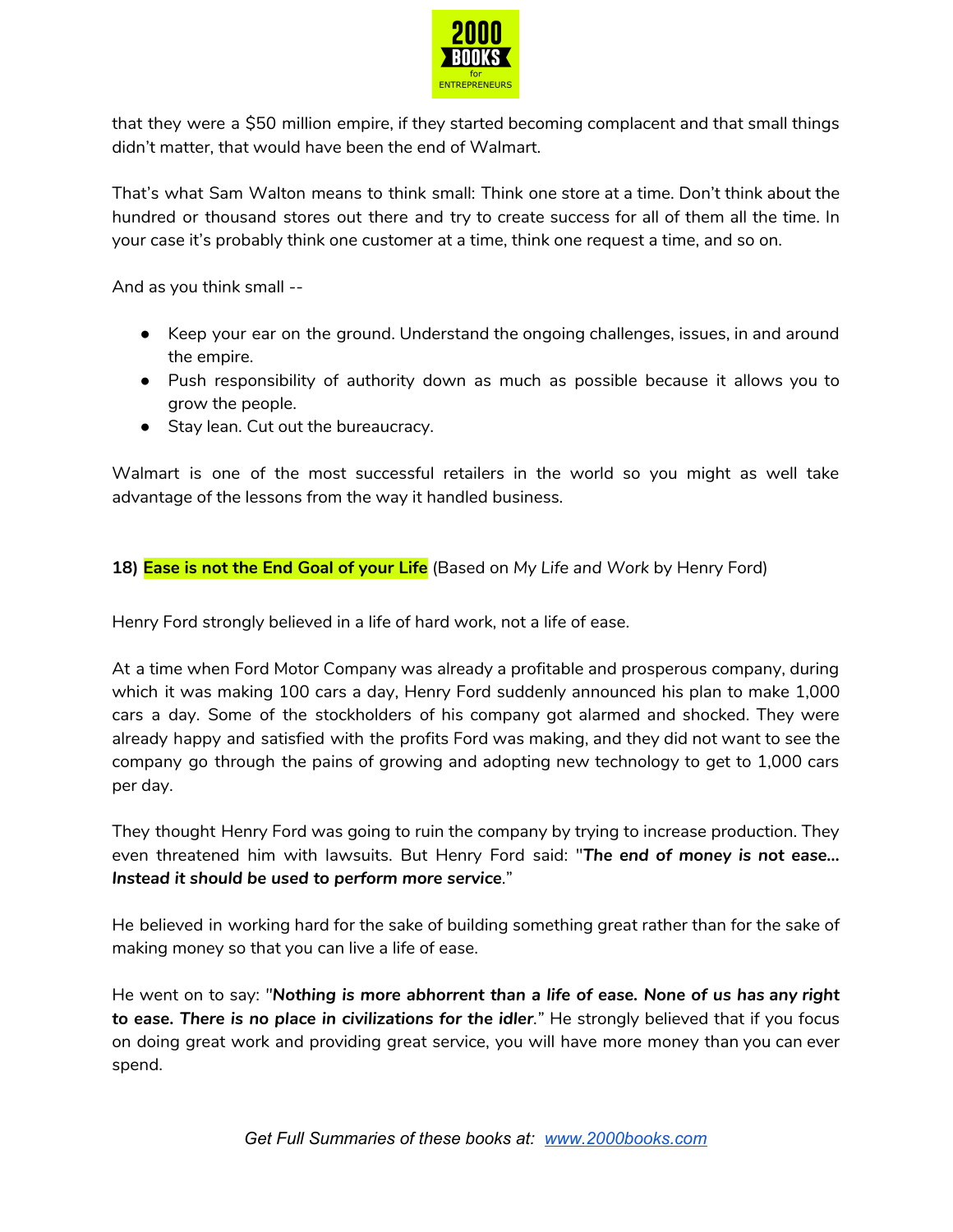

that they were a \$50 million empire, if they started becoming complacent and that small things didn't matter, that would have been the end of Walmart.

That's what Sam Walton means to think small: Think one store at a time. Don't think about the hundred or thousand stores out there and try to create success for all of them all the time. In your case it's probably think one customer at a time, think one request a time, and so on.

And as you think small --

- Keep your ear on the ground. Understand the ongoing challenges, issues, in and around the empire.
- Push responsibility of authority down as much as possible because it allows you to grow the people.
- Stay lean. Cut out the bureaucracy.

Walmart is one of the most successful retailers in the world so you might as well take advantage of the lessons from the way it handled business.

## **18) Ease is not the End Goal of your Life** (Based on *My Life and Work* by Henry Ford)

Henry Ford strongly believed in a life of hard work, not a life of ease.

At a time when Ford Motor Company was already a profitable and prosperous company, during which it was making 100 cars a day, Henry Ford suddenly announced his plan to make 1,000 cars a day. Some of the stockholders of his company got alarmed and shocked. They were already happy and satisfied with the profits Ford was making, and they did not want to see the company go through the pains of growing and adopting new technology to get to 1,000 cars per day.

They thought Henry Ford was going to ruin the company by trying to increase production. They even threatened him with lawsuits. But Henry Ford said: "*The end of money is not ease… Instead it should be used to perform more service*."

He believed in working hard for the sake of building something great rather than for the sake of making money so that you can live a life of ease.

He went on to say: *"Nothing is more abhorrent than a life of ease. None of us has any right to ease. There is no place in civilizations for the idler."* He strongly believed that if you focus on doing great work and providing great service, you will have more money than you can ever spend.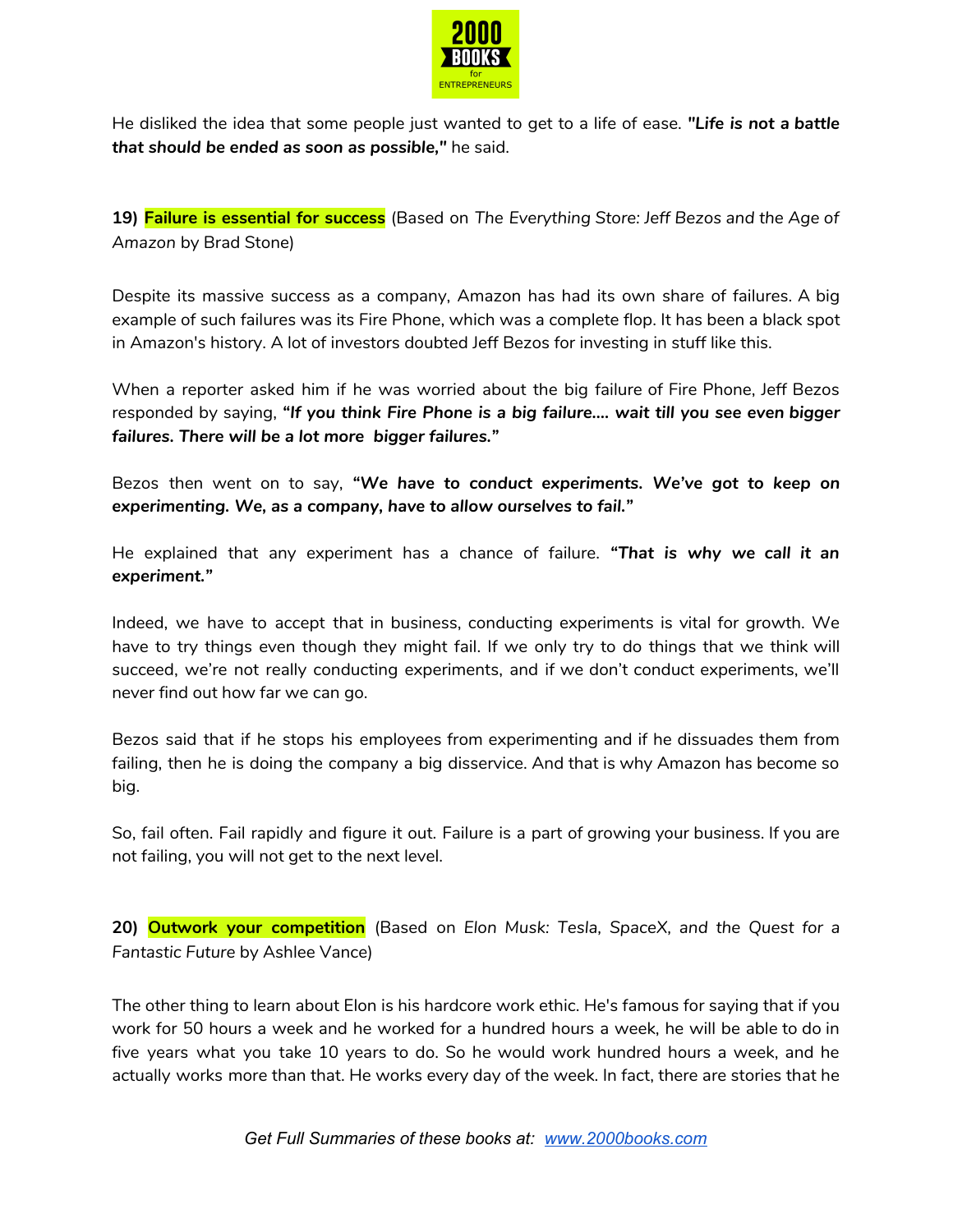

He disliked the idea that some people just wanted to get to a life of ease. *"Life is not a battle that should be ended as soon as possible,"* he said.

**19) Failure is essential for success** (Based on *The Everything Store: Jeff Bezos and the Age of Amazon* by Brad Stone)

Despite its massive success as a company, Amazon has had its own share of failures. A big example of such failures was its Fire Phone, which was a complete flop. It has been a black spot in Amazon's history. A lot of investors doubted Jeff Bezos for investing in stuff like this.

When a reporter asked him if he was worried about the big failure of Fire Phone, Jeff Bezos responded by saying, *"If you think Fire Phone is a big failure…. wait till you see even bigger failures. There will be a lot more bigger failures."*

Bezos then went on to say, *"We have to conduct experiments. We've got to keep on experimenting. We, as a company, have to allow ourselves to fail."*

He explained that any experiment has a chance of failure. *"That is why we call it an experiment."*

Indeed, we have to accept that in business, conducting experiments is vital for growth. We have to try things even though they might fail. If we only try to do things that we think will succeed, we're not really conducting experiments, and if we don't conduct experiments, we'll never find out how far we can go.

Bezos said that if he stops his employees from experimenting and if he dissuades them from failing, then he is doing the company a big disservice. And that is why Amazon has become so big.

So, fail often. Fail rapidly and figure it out. Failure is a part of growing your business. If you are not failing, you will not get to the next level.

**20) Outwork your competition** (Based on *Elon Musk: Tesla, SpaceX, and the Quest for a Fantastic Future* by Ashlee Vance)

The other thing to learn about Elon is his hardcore work ethic. He's famous for saying that if you work for 50 hours a week and he worked for a hundred hours a week, he will be able to do in five years what you take 10 years to do. So he would work hundred hours a week, and he actually works more than that. He works every day of the week. In fact, there are stories that he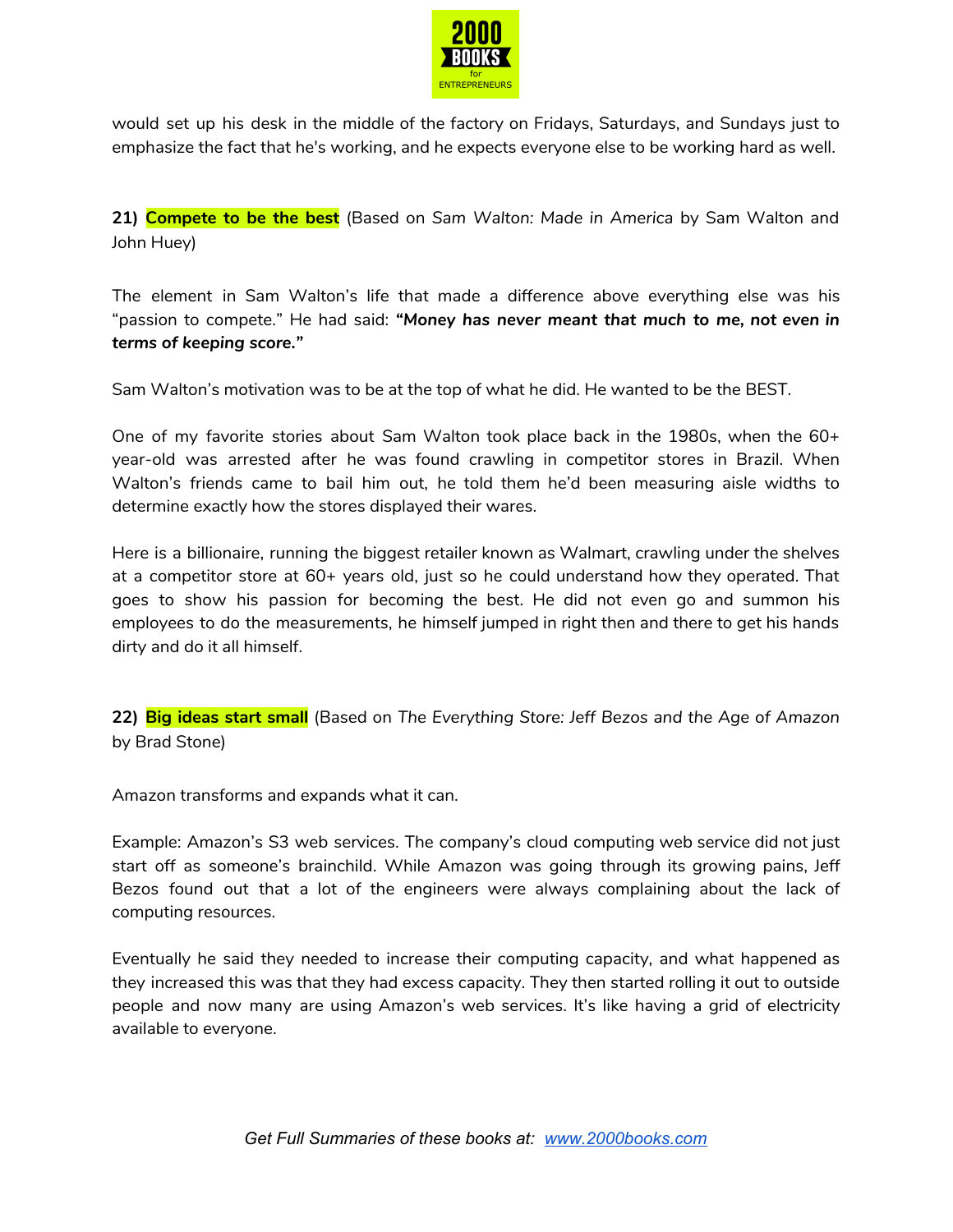

would set up his desk in the middle of the factory on Fridays, Saturdays, and Sundays just to emphasize the fact that he's working, and he expects everyone else to be working hard as well.

**21) Compete to be the best** (Based on *Sam Walton: Made in America* by Sam Walton and John Huey)

The element in Sam Walton's life that made a difference above everything else was his "passion to compete." He had said: *"Money has never meant that much to me, not even in terms of keeping score."*

Sam Walton's motivation was to be at the top of what he did. He wanted to be the BEST.

One of my favorite stories about Sam Walton took place back in the 1980s, when the 60+ year-old was arrested after he was found crawling in competitor stores in Brazil. When Walton's friends came to bail him out, he told them he'd been measuring aisle widths to determine exactly how the stores displayed their wares.

Here is a billionaire, running the biggest retailer known as Walmart, crawling under the shelves at a competitor store at 60+ years old, just so he could understand how they operated. That goes to show his passion for becoming the best. He did not even go and summon his employees to do the measurements, he himself jumped in right then and there to get his hands dirty and do it all himself.

**22) Big ideas start small** (Based on *The Everything Store: Jeff Bezos and the Age of Amazon* by Brad Stone)

Amazon transforms and expands what it can.

Example: Amazon's S3 web services. The company's cloud computing web service did not just start off as someone's brainchild. While Amazon was going through its growing pains, Jeff Bezos found out that a lot of the engineers were always complaining about the lack of computing resources.

Eventually he said they needed to increase their computing capacity, and what happened as they increased this was that they had excess capacity. They then started rolling it out to outside people and now many are using Amazon's web services. It's like having a grid of electricity available to everyone.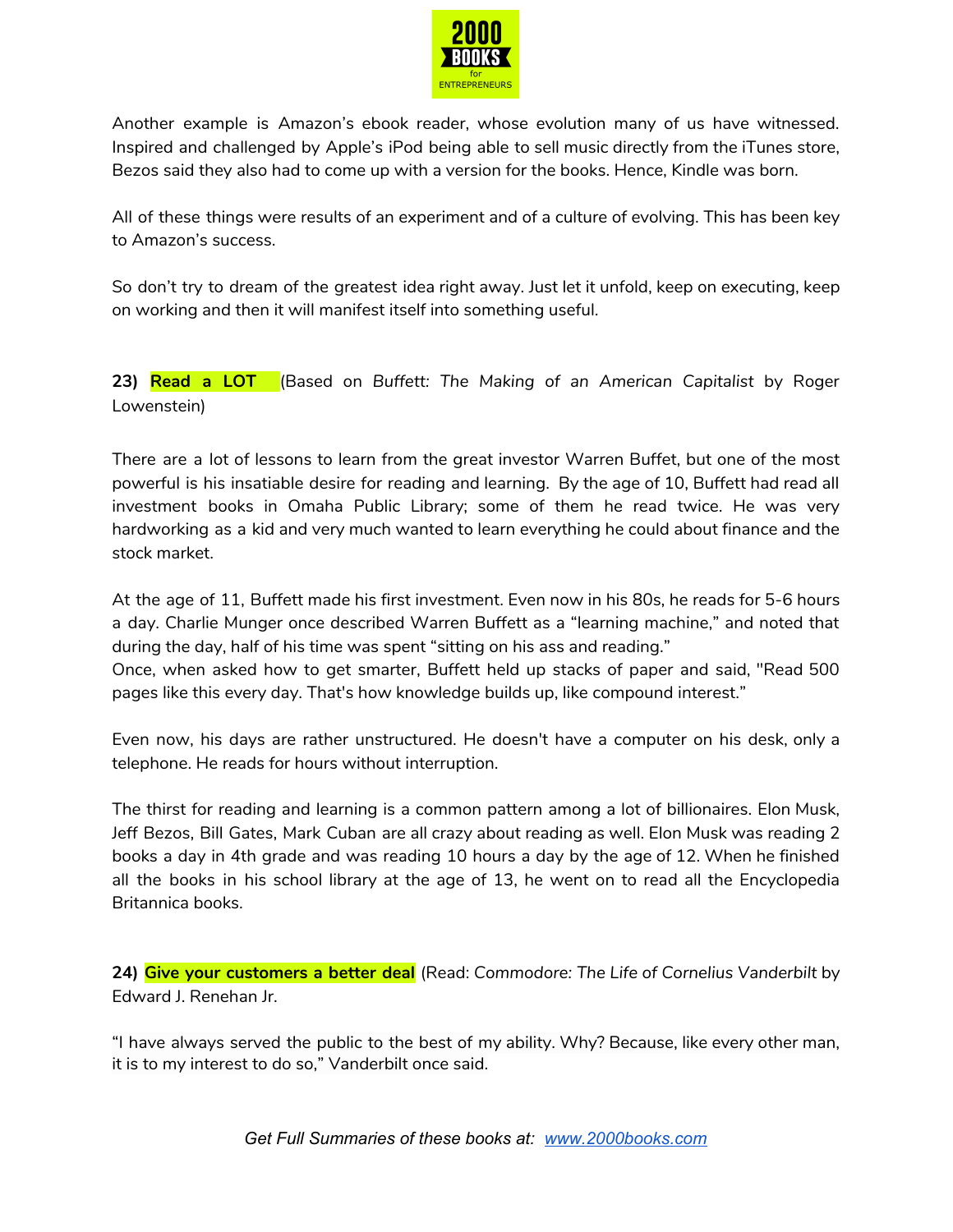

Another example is Amazon's ebook reader, whose evolution many of us have witnessed. Inspired and challenged by Apple's iPod being able to sell music directly from the iTunes store, Bezos said they also had to come up with a version for the books. Hence, Kindle was born.

All of these things were results of an experiment and of a culture of evolving. This has been key to Amazon's success.

So don't try to dream of the greatest idea right away. Just let it unfold, keep on executing, keep on working and then it will manifest itself into something useful.

**23) Read a LOT** (Based on *Buffett: The Making of an American Capitalist* by Roger Lowenstein)

There are a lot of lessons to learn from the great investor Warren Buffet, but one of the most powerful is his insatiable desire for reading and learning. By the age of 10, Buffett had read all investment books in Omaha Public Library; some of them he read twice. He was very hardworking as a kid and very much wanted to learn everything he could about finance and the stock market.

At the age of 11, Buffett made his first investment. Even now in his 80s, he reads for 5-6 hours a day. Charlie Munger once described Warren Buffett as a "learning machine," and noted that during the day, half of his time was spent "sitting on his ass and reading."

Once, when asked how to get smarter, Buffett held up stacks of paper and said, "Read 500 pages like this every day. That's how knowledge builds up, like compound interest."

Even now, his days are rather unstructured. He doesn't have a computer on his desk, only a telephone. He reads for hours without interruption.

The thirst for reading and learning is a common pattern among a lot of billionaires. Elon Musk, Jeff Bezos, Bill Gates, Mark Cuban are all crazy about reading as well. Elon Musk was reading 2 books a day in 4th grade and was reading 10 hours a day by the age of 12. When he finished all the books in his school library at the age of 13, he went on to read all the Encyclopedia Britannica books.

**24) Give your customers a better deal** (Read: *Commodore: The Life of Cornelius Vanderbilt* by Edward J. Renehan Jr.

"I have always served the public to the best of my ability. Why? Because, like every other man, it is to my interest to do so," Vanderbilt once said.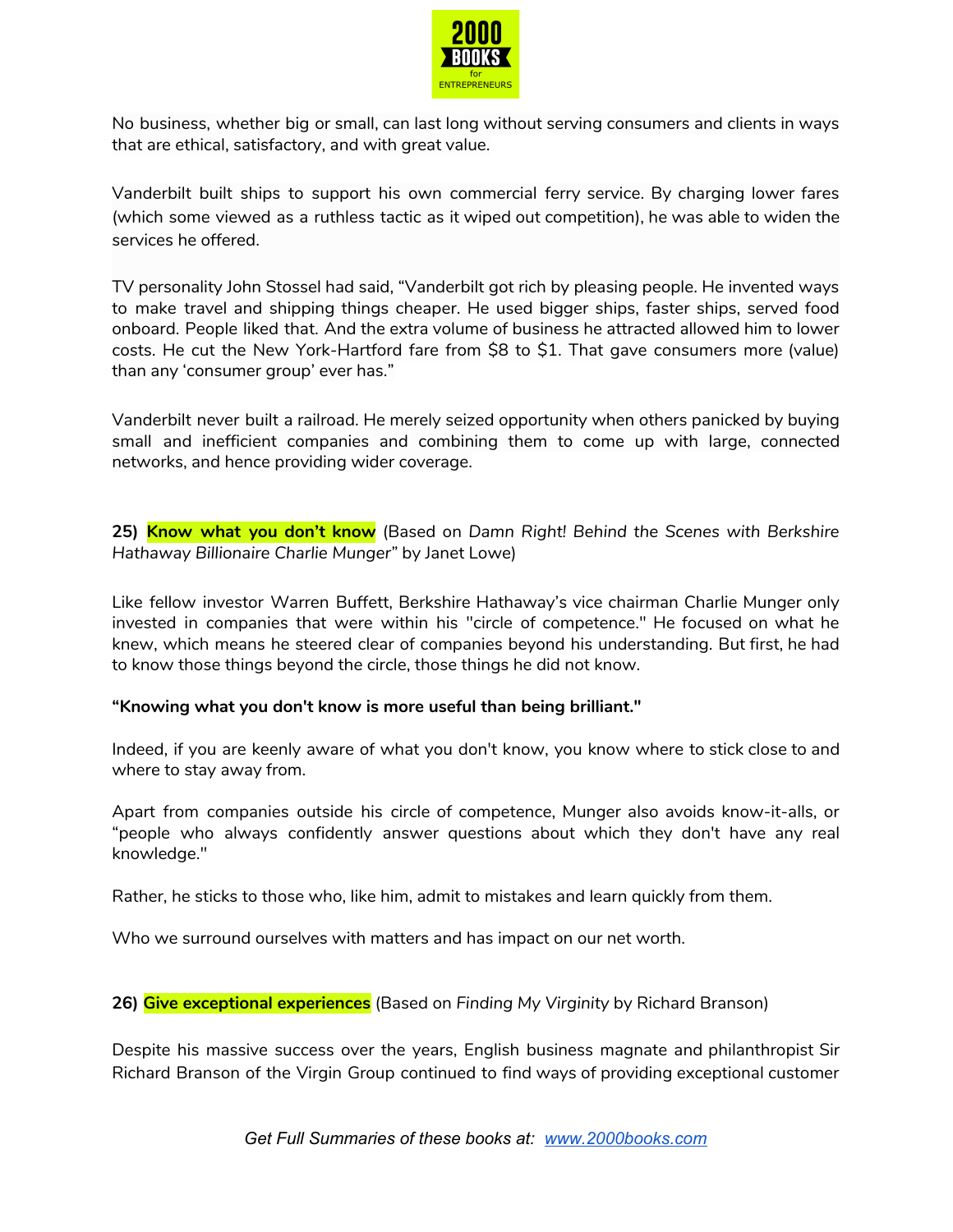

No business, whether big or small, can last long without serving consumers and clients in ways that are ethical, satisfactory, and with great value.

Vanderbilt built ships to support his own commercial ferry service. By charging lower fares (which some viewed as a ruthless tactic as it wiped out competition), he was able to widen the services he offered.

TV personality John Stossel had said, "Vanderbilt got rich by pleasing people. He invented ways to make travel and shipping things cheaper. He used bigger ships, faster ships, served food onboard. People liked that. And the extra volume of business he attracted allowed him to lower costs. He cut the New York-Hartford fare from \$8 to \$1. That gave consumers more (value) than any 'consumer group' ever has."

Vanderbilt never built a railroad. He merely seized opportunity when others panicked by buying small and inefficient companies and combining them to come up with large, connected networks, and hence providing wider coverage.

**25) Know what you don't know** (Based on *Damn Right! Behind the Scenes with Berkshire Hathaway Billionaire Charlie Munger"* by Janet Lowe)

Like fellow investor Warren Buffett, Berkshire Hathaway's vice chairman Charlie Munger only invested in companies that were within his "circle of competence." He focused on what he knew, which means he steered clear of companies beyond his understanding. But first, he had to know those things beyond the circle, those things he did not know.

## **"Knowing what you don't know is more useful than being brilliant."**

Indeed, if you are keenly aware of what you don't know, you know where to stick close to and where to stay away from.

Apart from companies outside his circle of competence, Munger also avoids know-it-alls, or "people who always confidently answer questions about which they don't have any real knowledge."

Rather, he sticks to those who, like him, admit to mistakes and learn quickly from them.

Who we surround ourselves with matters and has impact on our net worth.

**26) Give exceptional experiences** (Based on *Finding My Virginity* by Richard Branson)

Despite his massive success over the years, English business magnate and philanthropist Sir Richard Branson of the Virgin Group continued to find ways of providing exceptional customer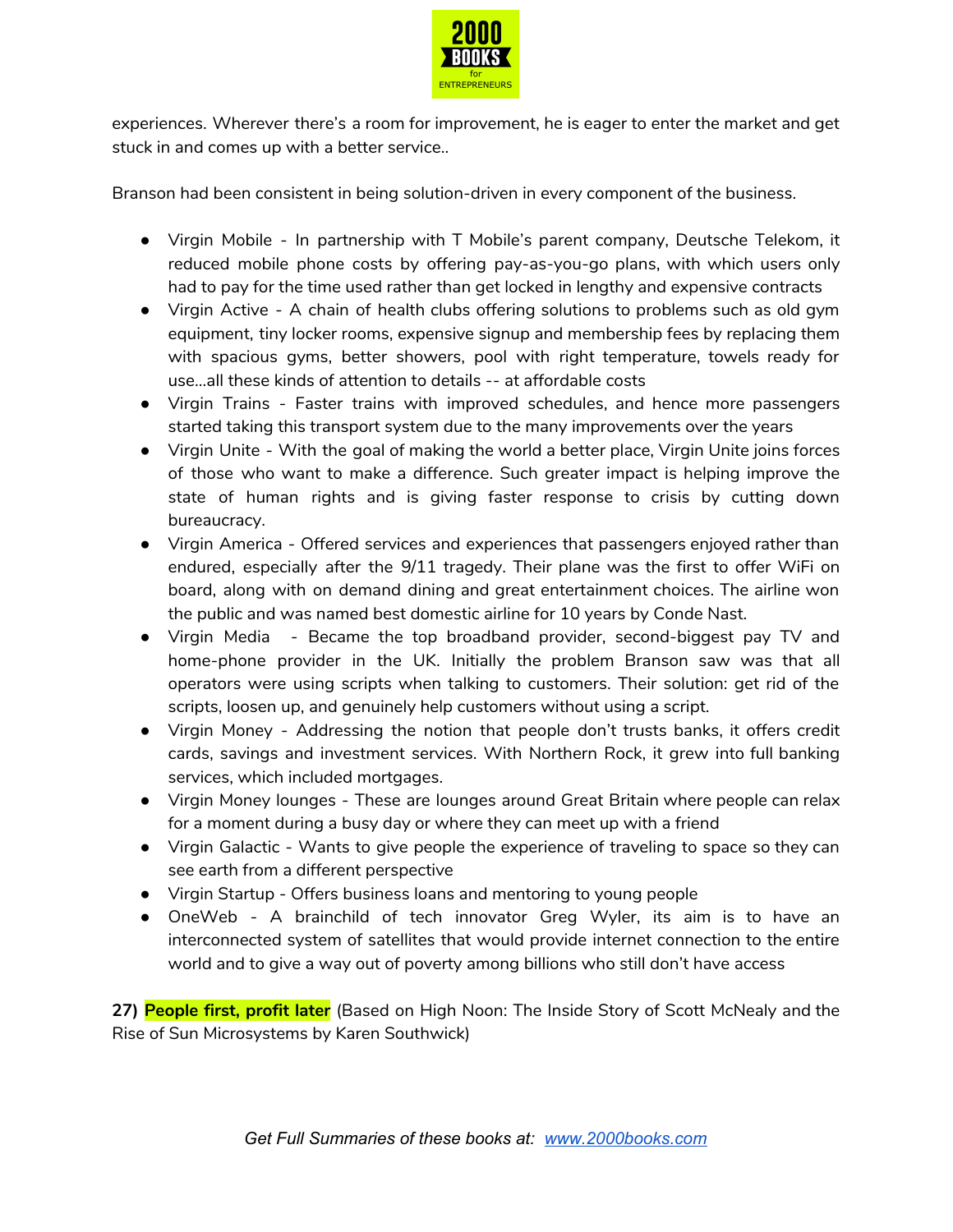

experiences. Wherever there's a room for improvement, he is eager to enter the market and get stuck in and comes up with a better service..

Branson had been consistent in being solution-driven in every component of the business.

- Virgin Mobile In partnership with T Mobile's parent company, Deutsche Telekom, it reduced mobile phone costs by offering pay-as-you-go plans, with which users only had to pay for the time used rather than get locked in lengthy and expensive contracts
- Virgin Active A chain of health clubs offering solutions to problems such as old gym equipment, tiny locker rooms, expensive signup and membership fees by replacing them with spacious gyms, better showers, pool with right temperature, towels ready for use...all these kinds of attention to details -- at affordable costs
- Virgin Trains Faster trains with improved schedules, and hence more passengers started taking this transport system due to the many improvements over the years
- Virgin Unite With the goal of making the world a better place, Virgin Unite joins forces of those who want to make a difference. Such greater impact is helping improve the state of human rights and is giving faster response to crisis by cutting down bureaucracy.
- Virgin America Offered services and experiences that passengers enjoyed rather than endured, especially after the 9/11 tragedy. Their plane was the first to offer WiFi on board, along with on demand dining and great entertainment choices. The airline won the public and was named best domestic airline for 10 years by Conde Nast.
- Virgin Media Became the top broadband provider, second-biggest pay TV and home-phone provider in the UK. Initially the problem Branson saw was that all operators were using scripts when talking to customers. Their solution: get rid of the scripts, loosen up, and genuinely help customers without using a script.
- Virgin Money Addressing the notion that people don't trusts banks, it offers credit cards, savings and investment services. With Northern Rock, it grew into full banking services, which included mortgages.
- Virgin Money lounges These are lounges around Great Britain where people can relax for a moment during a busy day or where they can meet up with a friend
- Virgin Galactic Wants to give people the experience of traveling to space so they can see earth from a different perspective
- Virgin Startup Offers business loans and mentoring to young people
- OneWeb A brainchild of tech innovator Greg Wyler, its aim is to have an interconnected system of satellites that would provide internet connection to the entire world and to give a way out of poverty among billions who still don't have access

**27) People first, profit later** (Based on High Noon: The Inside Story of Scott McNealy and the Rise of Sun Microsystems by Karen Southwick)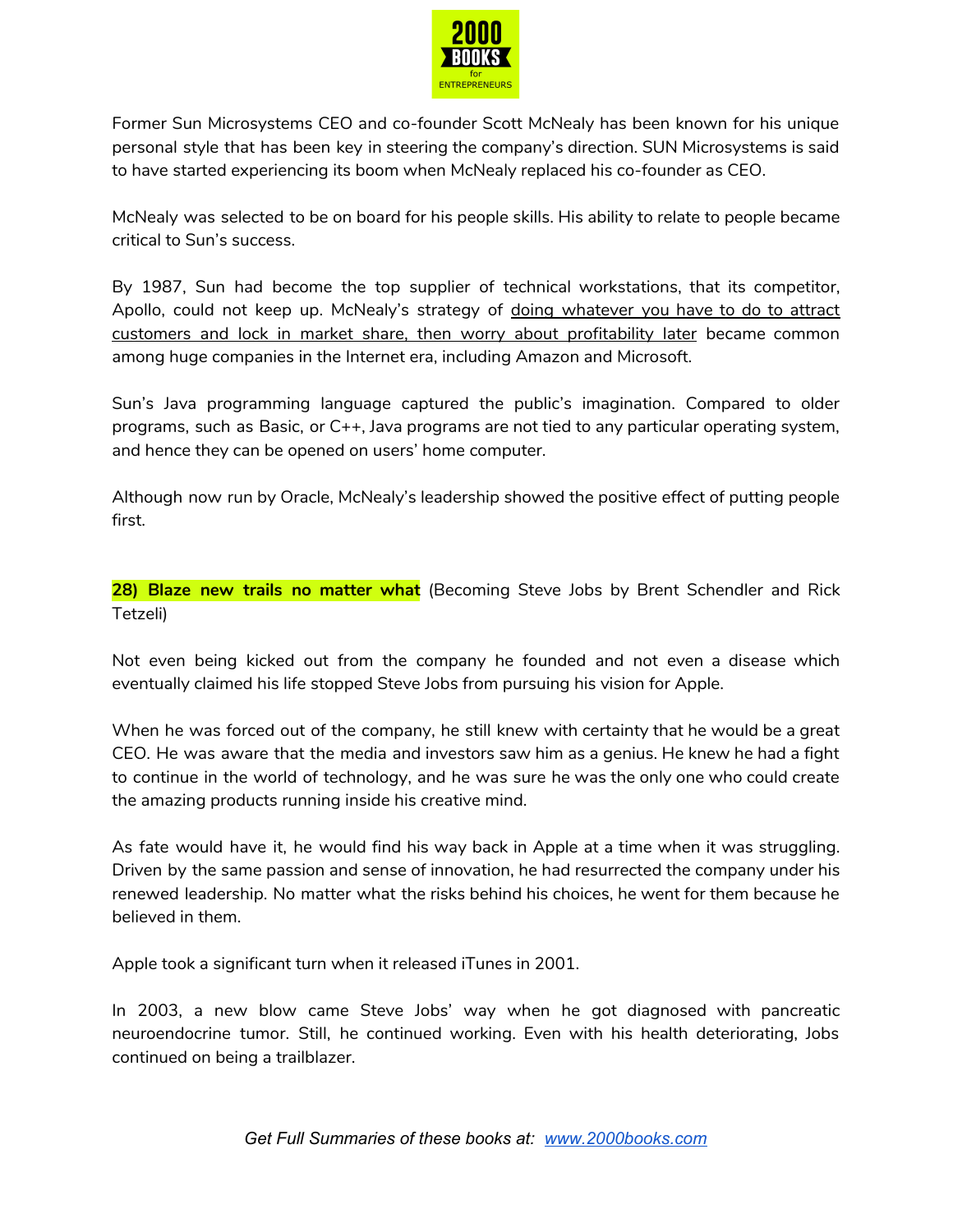

Former Sun Microsystems CEO and co-founder Scott McNealy has been known for his unique personal style that has been key in steering the company's direction. SUN Microsystems is said to have started experiencing its boom when McNealy replaced his co-founder as CEO.

McNealy was selected to be on board for his people skills. His ability to relate to people became critical to Sun's success.

By 1987, Sun had become the top supplier of technical workstations, that its competitor, Apollo, could not keep up. McNealy's strategy of doing whatever you have to do to attract customers and lock in market share, then worry about profitability later became common among huge companies in the Internet era, including Amazon and Microsoft.

Sun's Java programming language captured the public's imagination. Compared to older programs, such as Basic, or C++, Java programs are not tied to any particular operating system, and hence they can be opened on users' home computer.

Although now run by Oracle, McNealy's leadership showed the positive effect of putting people first.

**28) Blaze new trails no matter what** (Becoming Steve Jobs by Brent Schendler and Rick Tetzeli)

Not even being kicked out from the company he founded and not even a disease which eventually claimed his life stopped Steve Jobs from pursuing his vision for Apple.

When he was forced out of the company, he still knew with certainty that he would be a great CEO. He was aware that the media and investors saw him as a genius. He knew he had a fight to continue in the world of technology, and he was sure he was the only one who could create the amazing products running inside his creative mind.

As fate would have it, he would find his way back in Apple at a time when it was struggling. Driven by the same passion and sense of innovation, he had resurrected the company under his renewed leadership. No matter what the risks behind his choices, he went for them because he believed in them.

Apple took a significant turn when it released iTunes in 2001.

In 2003, a new blow came Steve Jobs' way when he got diagnosed with pancreatic neuroendocrine tumor. Still, he continued working. Even with his health deteriorating, Jobs continued on being a trailblazer.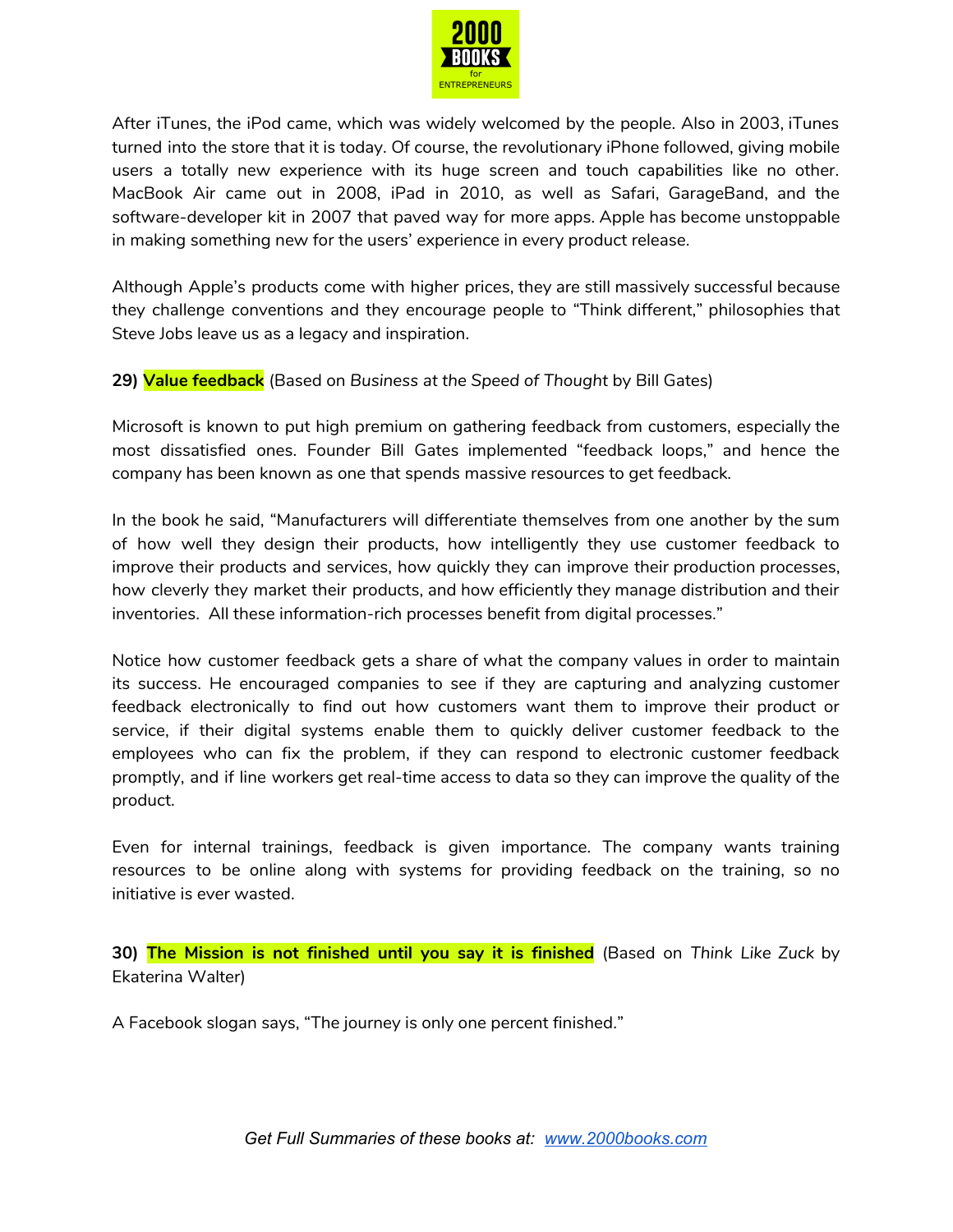

After iTunes, the iPod came, which was widely welcomed by the people. Also in 2003, iTunes turned into the store that it is today. Of course, the revolutionary iPhone followed, giving mobile users a totally new experience with its huge screen and touch capabilities like no other. MacBook Air came out in 2008, iPad in 2010, as well as Safari, GarageBand, and the software-developer kit in 2007 that paved way for more apps. Apple has become unstoppable in making something new for the users' experience in every product release.

Although Apple's products come with higher prices, they are still massively successful because they challenge conventions and they encourage people to "Think different," philosophies that Steve Jobs leave us as a legacy and inspiration.

**29) Value feedback** (Based on *Business at the Speed of Thought* by Bill Gates)

Microsoft is known to put high premium on gathering feedback from customers, especially the most dissatisfied ones. Founder Bill Gates implemented "feedback loops," and hence the company has been known as one that spends massive resources to get feedback.

In the book he said, "Manufacturers will differentiate themselves from one another by the sum of how well they design their products, how intelligently they use customer feedback to improve their products and services, how quickly they can improve their production processes, how cleverly they market their products, and how efficiently they manage distribution and their inventories. All these information-rich processes benefit from digital processes."

Notice how customer feedback gets a share of what the company values in order to maintain its success. He encouraged companies to see if they are capturing and analyzing customer feedback electronically to find out how customers want them to improve their product or service, if their digital systems enable them to quickly deliver customer feedback to the employees who can fix the problem, if they can respond to electronic customer feedback promptly, and if line workers get real-time access to data so they can improve the quality of the product.

Even for internal trainings, feedback is given importance. The company wants training resources to be online along with systems for providing feedback on the training, so no initiative is ever wasted.

**30) The Mission is not finished until you say it is finished** (Based on *Think Like Zuck* by Ekaterina Walter)

A Facebook slogan says, "The journey is only one percent finished."